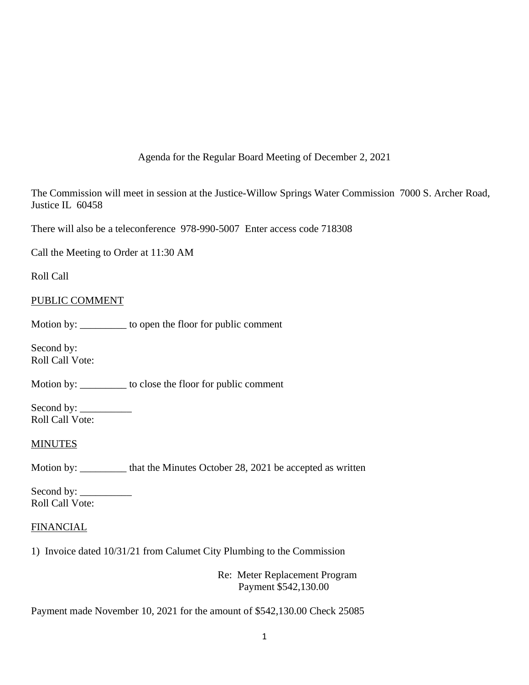Agenda for the Regular Board Meeting of December 2, 2021

The Commission will meet in session at the Justice-Willow Springs Water Commission 7000 S. Archer Road, Justice IL 60458

There will also be a teleconference 978-990-5007 Enter access code 718308

Call the Meeting to Order at 11:30 AM

Roll Call

## PUBLIC COMMENT

Motion by: \_\_\_\_\_\_\_\_\_ to open the floor for public comment

Second by: Roll Call Vote:

Motion by: \_\_\_\_\_\_\_\_\_ to close the floor for public comment

Second by: \_\_\_\_\_\_\_\_\_\_ Roll Call Vote:

## **MINUTES**

Motion by: \_\_\_\_\_\_\_\_\_ that the Minutes October 28, 2021 be accepted as written

Second by: \_\_\_\_\_\_\_\_\_\_ Roll Call Vote:

## **FINANCIAL**

1) Invoice dated 10/31/21 from Calumet City Plumbing to the Commission

Re: Meter Replacement Program Payment \$542,130.00

Payment made November 10, 2021 for the amount of \$542,130.00 Check 25085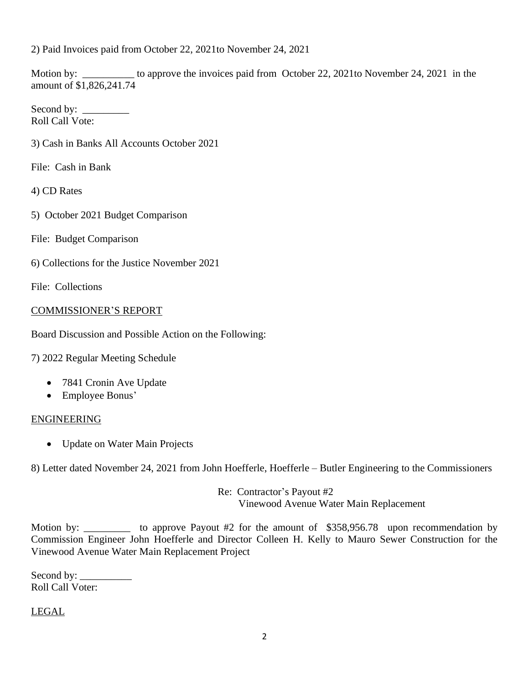2) Paid Invoices paid from October 22, 2021to November 24, 2021

Motion by: \_\_\_\_\_\_\_\_\_\_ to approve the invoices paid from October 22, 2021to November 24, 2021 in the amount of \$1,826,241.74

Second by: Roll Call Vote:

3) Cash in Banks All Accounts October 2021

File: Cash in Bank

4) CD Rates

- 5) October 2021 Budget Comparison
- File: Budget Comparison
- 6) Collections for the Justice November 2021

File: Collections

## COMMISSIONER'S REPORT

Board Discussion and Possible Action on the Following:

7) 2022 Regular Meeting Schedule

- 7841 Cronin Ave Update
- Employee Bonus'

## ENGINEERING

• Update on Water Main Projects

8) Letter dated November 24, 2021 from John Hoefferle, Hoefferle – Butler Engineering to the Commissioners

Re: Contractor's Payout #2 Vinewood Avenue Water Main Replacement

Motion by: \_\_\_\_\_\_\_\_\_\_ to approve Payout #2 for the amount of \$358,956.78 upon recommendation by Commission Engineer John Hoefferle and Director Colleen H. Kelly to Mauro Sewer Construction for the Vinewood Avenue Water Main Replacement Project

Second by: Roll Call Voter:

# LEGAL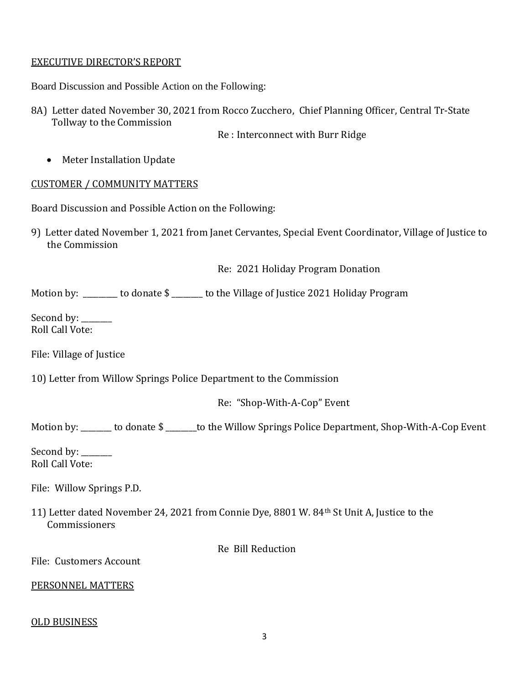## EXECUTIVE DIRECTOR'S REPORT

Board Discussion and Possible Action on the Following:

8A) Letter dated November 30, 2021 from Rocco Zucchero, Chief Planning Officer, Central Tr-State Tollway to the Commission

Re : Interconnect with Burr Ridge

• Meter Installation Update

# CUSTOMER / COMMUNITY MATTERS

Board Discussion and Possible Action on the Following:

9) Letter dated November 1, 2021 from Janet Cervantes, Special Event Coordinator, Village of Justice to the Commission

Re: 2021 Holiday Program Donation

Motion by: \_\_\_\_\_\_\_\_ to donate \$ \_\_\_\_\_\_\_ to the Village of Justice 2021 Holiday Program

Second by: \_\_\_\_\_\_\_ Roll Call Vote:

File: Village of Justice

10) Letter from Willow Springs Police Department to the Commission

Re: "Shop-With-A-Cop" Event

Motion by: \_\_\_\_\_\_\_\_ to donate \$ \_\_\_\_\_\_\_\_to the Willow Springs Police Department, Shop-With-A-Cop Event

Second by: \_\_\_\_\_\_ Roll Call Vote:

File: Willow Springs P.D.

11) Letter dated November 24, 2021 from Connie Dye, 8801 W. 84th St Unit A, Justice to the Commissioners

Re Bill Reduction

File: Customers Account

## PERSONNEL MATTERS

## OLD BUSINESS